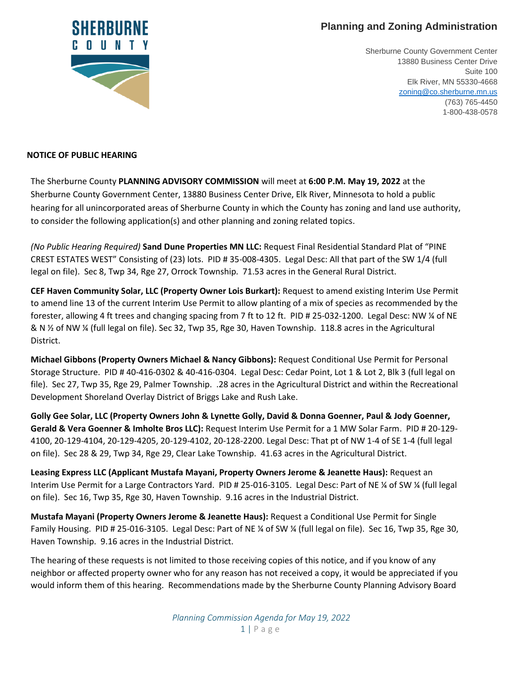## **Planning and Zoning Administration**



Sherburne County Government Center 13880 Business Center Drive Suite 100 Elk River, MN 55330-4668 [zoning@co.sherburne.mn.us](mailto:zoning@co.sherburne.mn.us) (763) 765-4450 1-800-438-0578

## **NOTICE OF PUBLIC HEARING**

The Sherburne County **PLANNING ADVISORY COMMISSION** will meet at **6:00 P.M. May 19, 2022** at the Sherburne County Government Center, 13880 Business Center Drive, Elk River, Minnesota to hold a public hearing for all unincorporated areas of Sherburne County in which the County has zoning and land use authority, to consider the following application(s) and other planning and zoning related topics.

*(No Public Hearing Required)* **Sand Dune Properties MN LLC:** Request Final Residential Standard Plat of "PINE CREST ESTATES WEST" Consisting of (23) lots. PID # 35-008-4305. Legal Desc: All that part of the SW 1/4 (full legal on file). Sec 8, Twp 34, Rge 27, Orrock Township. 71.53 acres in the General Rural District.

**CEF Haven Community Solar, LLC (Property Owner Lois Burkart):** Request to amend existing Interim Use Permit to amend line 13 of the current Interim Use Permit to allow planting of a mix of species as recommended by the forester, allowing 4 ft trees and changing spacing from 7 ft to 12 ft. PID # 25-032-1200. Legal Desc: NW ¼ of NE & N ½ of NW ¼ (full legal on file). Sec 32, Twp 35, Rge 30, Haven Township. 118.8 acres in the Agricultural District.

**Michael Gibbons (Property Owners Michael & Nancy Gibbons):** Request Conditional Use Permit for Personal Storage Structure. PID # 40-416-0302 & 40-416-0304. Legal Desc: Cedar Point, Lot 1 & Lot 2, Blk 3 (full legal on file). Sec 27, Twp 35, Rge 29, Palmer Township. .28 acres in the Agricultural District and within the Recreational Development Shoreland Overlay District of Briggs Lake and Rush Lake.

**Golly Gee Solar, LLC (Property Owners John & Lynette Golly, David & Donna Goenner, Paul & Jody Goenner, Gerald & Vera Goenner & Imholte Bros LLC):** Request Interim Use Permit for a 1 MW Solar Farm. PID # 20-129- 4100, 20-129-4104, 20-129-4205, 20-129-4102, 20-128-2200. Legal Desc: That pt of NW 1-4 of SE 1-4 (full legal on file). Sec 28 & 29, Twp 34, Rge 29, Clear Lake Township. 41.63 acres in the Agricultural District.

**Leasing Express LLC (Applicant Mustafa Mayani, Property Owners Jerome & Jeanette Haus):** Request an Interim Use Permit for a Large Contractors Yard. PID # 25-016-3105. Legal Desc: Part of NE ¼ of SW ¼ (full legal on file). Sec 16, Twp 35, Rge 30, Haven Township. 9.16 acres in the Industrial District.

**Mustafa Mayani (Property Owners Jerome & Jeanette Haus):** Request a Conditional Use Permit for Single Family Housing. PID # 25-016-3105. Legal Desc: Part of NE ¼ of SW ¼ (full legal on file). Sec 16, Twp 35, Rge 30, Haven Township. 9.16 acres in the Industrial District.

The hearing of these requests is not limited to those receiving copies of this notice, and if you know of any neighbor or affected property owner who for any reason has not received a copy, it would be appreciated if you would inform them of this hearing. Recommendations made by the Sherburne County Planning Advisory Board